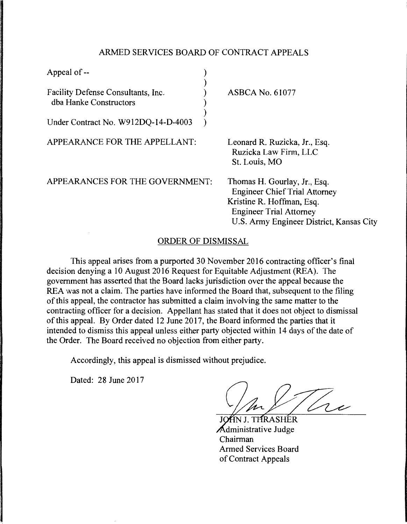## ARMED SERVICES BOARD OF CONTRACT APPEALS

| Appeal of --                                                                                        |                                                                                                                                                                                 |
|-----------------------------------------------------------------------------------------------------|---------------------------------------------------------------------------------------------------------------------------------------------------------------------------------|
| Facility Defense Consultants, Inc.<br>dba Hanke Constructors<br>Under Contract No. W912DQ-14-D-4003 | <b>ASBCA No. 61077</b>                                                                                                                                                          |
| APPEARANCE FOR THE APPELLANT:                                                                       | Leonard R. Ruzicka, Jr., Esq.<br>Ruzicka Law Firm, LLC<br>St. Louis, MO                                                                                                         |
| APPEARANCES FOR THE GOVERNMENT:                                                                     | Thomas H. Gourlay, Jr., Esq.<br><b>Engineer Chief Trial Attorney</b><br>Kristine R. Hoffman, Esq.<br><b>Engineer Trial Attorney</b><br>U.S. Army Engineer District, Kansas City |

## ORDER OF DISMISSAL

This appeal arises from a purported 30 November 2016 contracting officer's final decision denying a 10 August 2016 Request for Equitable Adjustment (REA). The government has asserted that the Board lacks jurisdiction over the appeal because the REA was not a claim. The parties have informed the Board that, subsequent to the filing of this appeal, the contractor has submitted a claim involving the same matter to the contracting officer for a decision. Appellant has stated that it does not object to dismissal of this appeal. By Order dated 12 June 2017, the Board informed the parties that it intended to dismiss this appeal unless either party objected within 14 days of the date of the Order. The Board received no objection from either party.

Accordingly, this appeal is dismissed without prejudice.

Dated: 28 June 2017

 $\sqrt{2}$ 

THRASHER Administrative Judge Chairman Armed Services Board of Contract Appeals